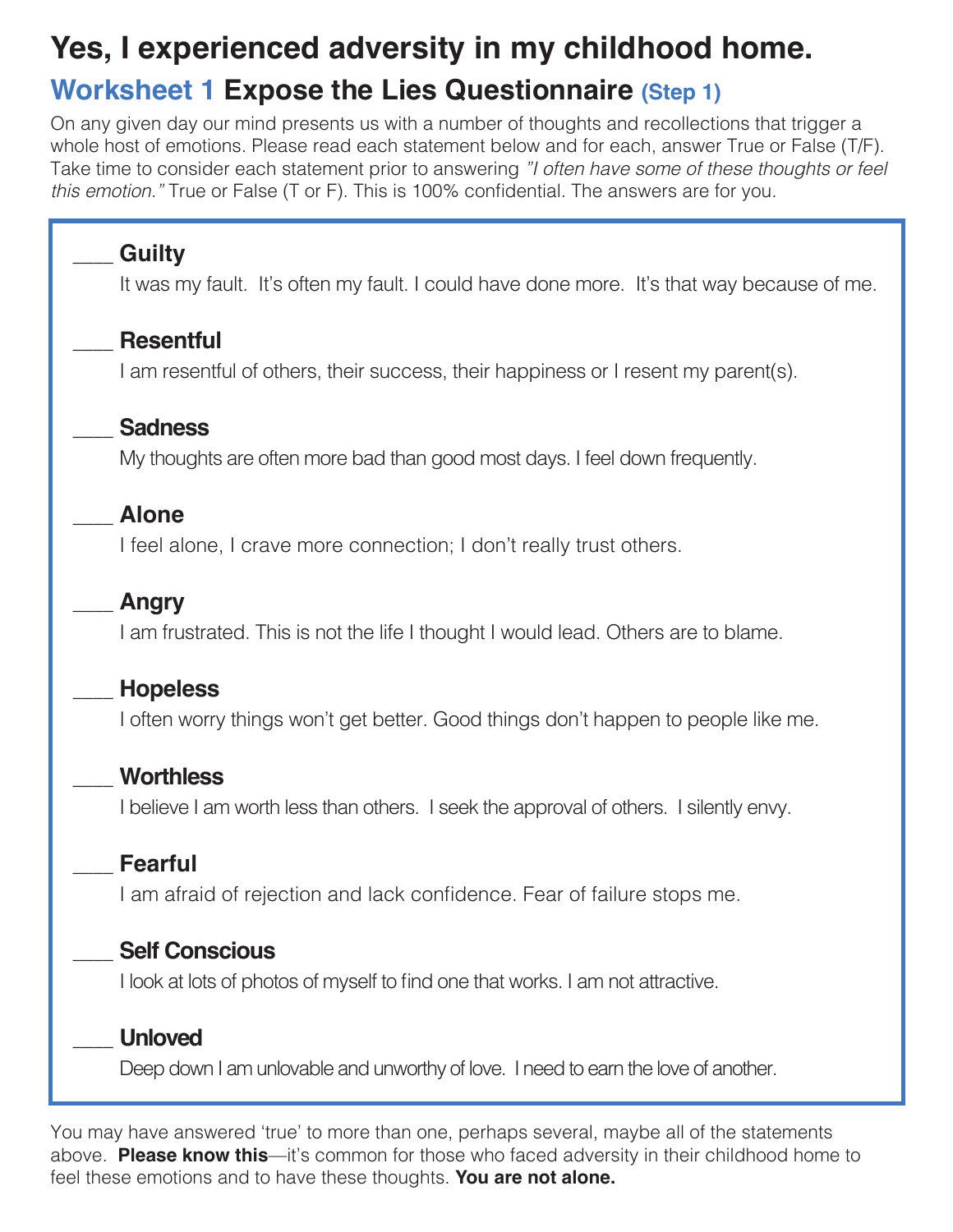## **Yes, I experienced adversity in my childhood home. Worksheet 1 Expose the Lies Questionnaire (Step 1)**

On any given day our mind presents us with a number of thoughts and recollections that trigger a whole host of emotions. Please read each statement below and for each, answer True or False (T/F). Take time to consider each statement prior to answering *"I often have some of these thoughts or feel this emotion."* True or False (T or F). This is 100% confidential. The answers are for you.

## \_\_\_\_ **Guilty** It was my fault. It's often my fault. I could have done more. It's that way because of me. \_\_\_\_ **Resentful** I am resentful of others, their success, their happiness or I resent my parent(s). \_\_\_\_ **Sadness** My thoughts are often more bad than good most days. I feel down frequently. \_\_\_\_ **Alone** I feel alone, I crave more connection; I don't really trust others. \_\_\_\_ **Angry** I am frustrated. This is not the life I thought I would lead. Others are to blame. \_\_\_\_ **Hopeless** I often worry things won't get better. Good things don't happen to people like me. \_\_\_\_ **Worthless** I believe I am worth less than others. I seek the approval of others. I silently envy. \_\_\_\_ **Fearful** I am afraid of rejection and lack confidence. Fear of failure stops me. \_\_\_\_ **Self Conscious** I look at lots of photos of myself to find one that works. I am not attractive. \_\_\_\_ **Unloved** Deep down I am unlovable and unworthy of love. I need to earn the love of another.

You may have answered 'true' to more than one, perhaps several, maybe all of the statements above. **Please know this**—it's common for those who faced adversity in their childhood home to feel these emotions and to have these thoughts. **You are not alone.**